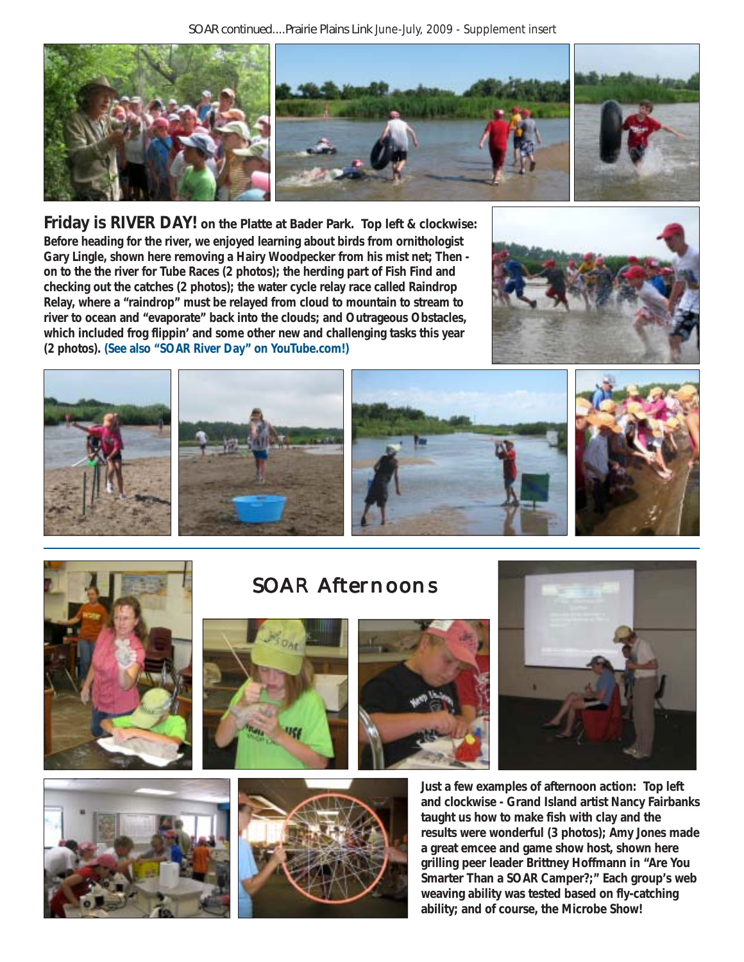

**Friday is RIVER DAY! on the Platte at Bader Park. Top left & clockwise: Before heading for the river, we enjoyed learning about birds from ornithologist Gary Lingle, shown here removing a Hairy Woodpecker from his mist net; Then on to the the river for Tube Races (2 photos); the herding part of Fish Find and checking out the catches (2 photos); the water cycle relay race called Raindrop Relay, where a "raindrop" must be relayed from cloud to mountain to stream to river to ocean and "evaporate" back into the clouds; and Outrageous Obstacles, which included frog flippin' and some other new and challenging tasks this year (2 photos). (See also "SOAR River Day" on YouTube.com!)**







SOAR Afternoons











**Just a few examples of afternoon action: Top left and clockwise - Grand Island artist Nancy Fairbanks taught us how to make fish with clay and the results were wonderful (3 photos); Amy Jones made a great emcee and game show host, shown here grilling peer leader Brittney Hoffmann in "Are You Smarter Than a SOAR Camper?;" Each group's web weaving ability was tested based on fly-catching ability; and of course, the Microbe Show!**